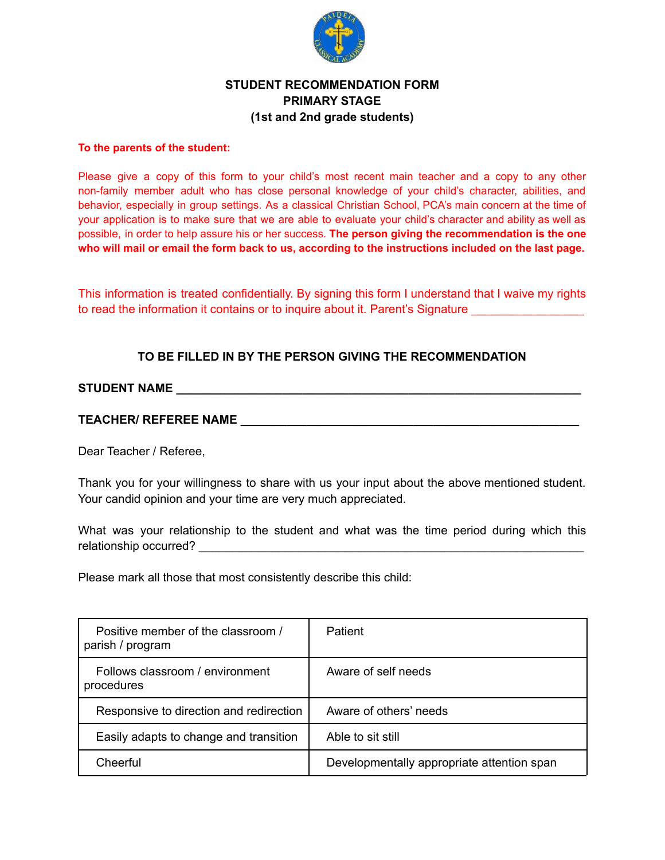

## **STUDENT RECOMMENDATION FORM PRIMARY STAGE (1st and 2nd grade students)**

#### **To the parents of the student:**

Please give a copy of this form to your child's most recent main teacher and a copy to any other non-family member adult who has close personal knowledge of your child's character, abilities, and behavior, especially in group settings. As a classical Christian School, PCA's main concern at the time of your application is to make sure that we are able to evaluate your child's character and ability as well as possible, in order to help assure his or her success. **The person giving the recommendation is the one** who will mail or email the form back to us, according to the instructions included on the last page.

This information is treated confidentially. By signing this form I understand that I waive my rights to read the information it contains or to inquire about it. Parent's Signature

### **TO BE FILLED IN BY THE PERSON GIVING THE RECOMMENDATION**

# **STUDENT NAME \_\_\_\_\_\_\_\_\_\_\_\_\_\_\_\_\_\_\_\_\_\_\_\_\_\_\_\_\_\_\_\_\_\_\_\_\_\_\_\_\_\_\_\_\_\_\_\_\_\_\_\_\_\_\_\_\_\_\_\_\_**

### **TEACHER/ REFEREE NAME \_\_\_\_\_\_\_\_\_\_\_\_\_\_\_\_\_\_\_\_\_\_\_\_\_\_\_\_\_\_\_\_\_\_\_\_\_\_\_\_\_\_\_\_\_\_\_\_\_\_\_**

Dear Teacher / Referee,

Thank you for your willingness to share with us your input about the above mentioned student. Your candid opinion and your time are very much appreciated.

What was your relationship to the student and what was the time period during which this relationship occurred? \_\_\_\_\_\_\_\_\_\_\_\_\_\_\_\_\_\_\_\_\_\_\_\_\_\_\_\_\_\_\_\_\_\_\_\_\_\_\_\_\_\_\_\_\_\_\_\_\_\_\_\_\_\_\_\_\_\_

Please mark all those that most consistently describe this child:

| Positive member of the classroom /<br>parish / program | <b>Patient</b>                             |
|--------------------------------------------------------|--------------------------------------------|
| Follows classroom / environment<br>procedures          | Aware of self needs                        |
| Responsive to direction and redirection                | Aware of others' needs                     |
| Easily adapts to change and transition                 | Able to sit still                          |
| Cheerful                                               | Developmentally appropriate attention span |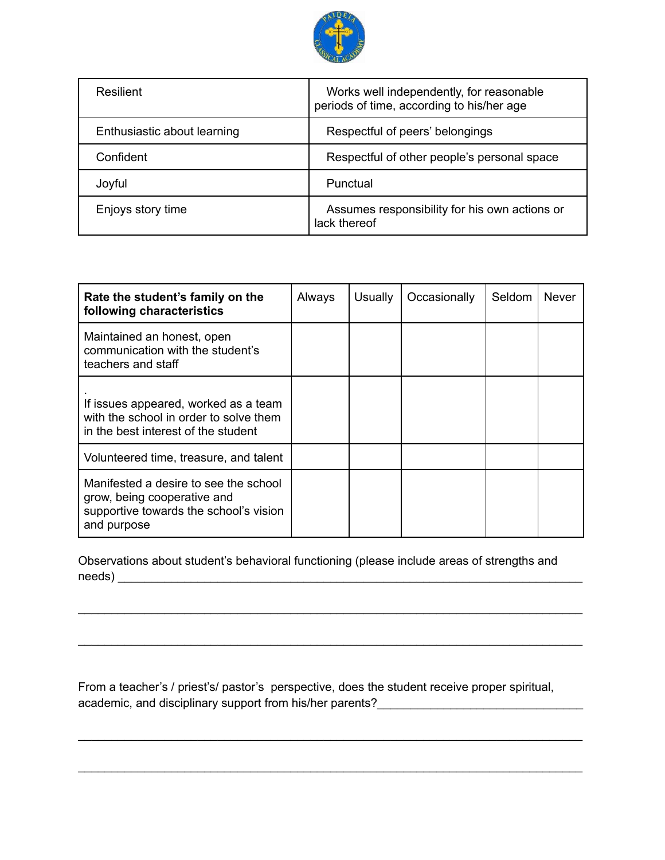

| Resilient                   | Works well independently, for reasonable<br>periods of time, according to his/her age |  |  |
|-----------------------------|---------------------------------------------------------------------------------------|--|--|
| Enthusiastic about learning | Respectful of peers' belongings                                                       |  |  |
| Confident                   | Respectful of other people's personal space                                           |  |  |
| Joyful                      | Punctual                                                                              |  |  |
| Enjoys story time           | Assumes responsibility for his own actions or<br>lack thereof                         |  |  |

| Rate the student's family on the<br>following characteristics                                                                 | Always | <b>Usually</b> | Occasionally | Seldom | Never |
|-------------------------------------------------------------------------------------------------------------------------------|--------|----------------|--------------|--------|-------|
| Maintained an honest, open<br>communication with the student's<br>teachers and staff                                          |        |                |              |        |       |
| If issues appeared, worked as a team<br>with the school in order to solve them<br>in the best interest of the student         |        |                |              |        |       |
| Volunteered time, treasure, and talent                                                                                        |        |                |              |        |       |
| Manifested a desire to see the school<br>grow, being cooperative and<br>supportive towards the school's vision<br>and purpose |        |                |              |        |       |

Observations about student's behavioral functioning (please include areas of strengths and needs) **with a set of the contract of the contract of the contract of the contract of the contract of the contract of the contract of the contract of the contract of the contract of the contract of the contract of the cont** 

\_\_\_\_\_\_\_\_\_\_\_\_\_\_\_\_\_\_\_\_\_\_\_\_\_\_\_\_\_\_\_\_\_\_\_\_\_\_\_\_\_\_\_\_\_\_\_\_\_\_\_\_\_\_\_\_\_\_\_\_\_\_\_\_\_\_\_\_\_\_\_\_\_\_\_\_

\_\_\_\_\_\_\_\_\_\_\_\_\_\_\_\_\_\_\_\_\_\_\_\_\_\_\_\_\_\_\_\_\_\_\_\_\_\_\_\_\_\_\_\_\_\_\_\_\_\_\_\_\_\_\_\_\_\_\_\_\_\_\_\_\_\_\_\_\_\_\_\_\_\_\_\_

\_\_\_\_\_\_\_\_\_\_\_\_\_\_\_\_\_\_\_\_\_\_\_\_\_\_\_\_\_\_\_\_\_\_\_\_\_\_\_\_\_\_\_\_\_\_\_\_\_\_\_\_\_\_\_\_\_\_\_\_\_\_\_\_\_\_\_\_\_\_\_\_\_\_\_\_

\_\_\_\_\_\_\_\_\_\_\_\_\_\_\_\_\_\_\_\_\_\_\_\_\_\_\_\_\_\_\_\_\_\_\_\_\_\_\_\_\_\_\_\_\_\_\_\_\_\_\_\_\_\_\_\_\_\_\_\_\_\_\_\_\_\_\_\_\_\_\_\_\_\_\_\_

From a teacher's / priest's/ pastor's perspective, does the student receive proper spiritual, academic, and disciplinary support from his/her parents?\_\_\_\_\_\_\_\_\_\_\_\_\_\_\_\_\_\_\_\_\_\_\_\_\_